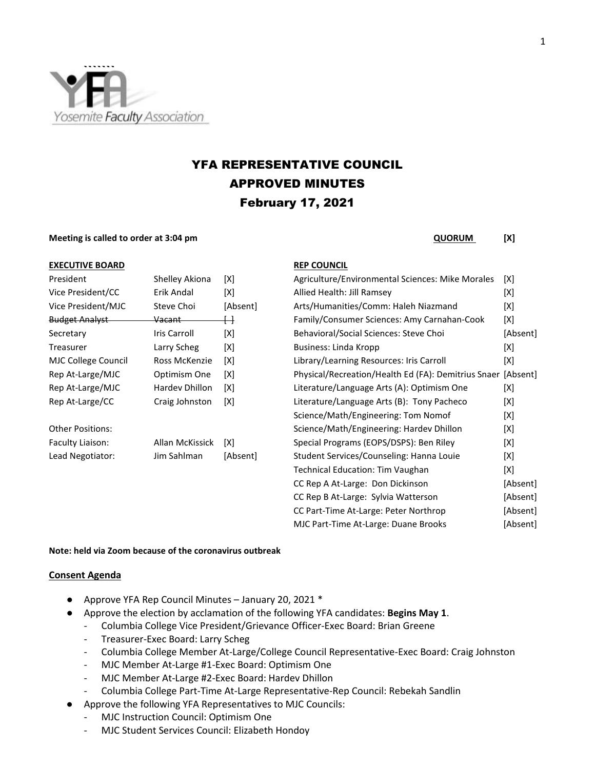

# YFA REPRESENTATIVE COUNCIL APPROVED MINUTES February 17, 2021

**Meeting is called to order at 3:04 pm** 

| <b>QUORUM</b> | [X] |
|---------------|-----|
|---------------|-----|

| <b>EXECUTIVE BOARD</b>                                                                                                                                                                                                               |                | <b>REP COUNCIL</b> |
|--------------------------------------------------------------------------------------------------------------------------------------------------------------------------------------------------------------------------------------|----------------|--------------------|
| President                                                                                                                                                                                                                            | Shelley Akiona | Agriculture/Er     |
| <u>in the contract of the contract of the contract of the contract of the contract of the contract of the contract of the contract of the contract of the contract of the contract of the contract of the contract of the contra</u> |                |                    |

| Shelley Akiona     | [X]      |
|--------------------|----------|
| Erik Andal         | [X]      |
| Steve Choi         | [Absent] |
| <del>Vacant-</del> | ⊣        |
| Iris Carroll       | [X]      |
| Larry Scheg        | [X]      |
| Ross McKenzie      | [X]      |
| Optimism One       | [X]      |
| Hardev Dhillon     | [X]      |
| Craig Johnston     | [X]      |
|                    |          |
| Allan McKissick    | [X]      |
| Jim Sahlman        | [Absent] |
|                    |          |

| President             | Shelley Akiona    | [X]      | Agriculture/Environmental Sciences: Mike Morales             | [X]      |
|-----------------------|-------------------|----------|--------------------------------------------------------------|----------|
| Vice President/CC     | Erik Andal        | [X]      | Allied Health: Jill Ramsey                                   | [X]      |
| Vice President/MJC    | Steve Choi        | [Absent] | Arts/Humanities/Comm: Haleh Niazmand                         | [X]      |
| <b>Budget Analyst</b> | <del>Vacant</del> | ↔        | Family/Consumer Sciences: Amy Carnahan-Cook                  | [X]      |
| Secretary             | Iris Carroll      | [X]      | Behavioral/Social Sciences: Steve Choi                       | [Absent] |
| Treasurer             | Larry Scheg       | [X]      | Business: Linda Kropp                                        | [X]      |
| MJC College Council   | Ross McKenzie     | [X]      | Library/Learning Resources: Iris Carroll                     | [X]      |
| Rep At-Large/MJC      | Optimism One      | [X]      | Physical/Recreation/Health Ed (FA): Demitrius Snaer [Absent] |          |
| Rep At-Large/MJC      | Hardev Dhillon    | [X]      | Literature/Language Arts (A): Optimism One                   | [X]      |
| Rep At-Large/CC       | Craig Johnston    | [X]      | Literature/Language Arts (B): Tony Pacheco                   | [X]      |
|                       |                   |          | Science/Math/Engineering: Tom Nomof                          | [X]      |
| Other Positions:      |                   |          | Science/Math/Engineering: Hardev Dhillon                     | [X]      |
| Faculty Liaison:      | Allan McKissick   | [X]      | Special Programs (EOPS/DSPS): Ben Riley                      | [X]      |
| Lead Negotiator:      | Jim Sahlman       | [Absent] | Student Services/Counseling: Hanna Louie                     | [X]      |
|                       |                   |          | <b>Technical Education: Tim Vaughan</b>                      | [X]      |
|                       |                   |          | CC Rep A At-Large: Don Dickinson                             | [Absent] |
|                       |                   |          | CC Rep B At-Large: Sylvia Watterson                          | [Absent] |
|                       |                   |          | CC Part-Time At-Large: Peter Northrop                        | [Absent] |
|                       |                   |          | MJC Part-Time At-Large: Duane Brooks                         | [Absent] |
|                       |                   |          |                                                              |          |

### **Note: held via Zoom because of the coronavirus outbreak**

### **Consent Agenda**

- Approve YFA Rep Council Minutes January 20, 2021 \*
- Approve the election by acclamation of the following YFA candidates: **Begins May 1**.
	- Columbia College Vice President/Grievance Officer-Exec Board: Brian Greene
	- Treasurer-Exec Board: Larry Scheg
	- Columbia College Member At-Large/College Council Representative-Exec Board: Craig Johnston
	- MJC Member At-Large #1-Exec Board: Optimism One
	- MJC Member At-Large #2-Exec Board: Hardev Dhillon
	- Columbia College Part-Time At-Large Representative-Rep Council: Rebekah Sandlin
- Approve the following YFA Representatives to MJC Councils:
	- MJC Instruction Council: Optimism One
	- MJC Student Services Council: Elizabeth Hondoy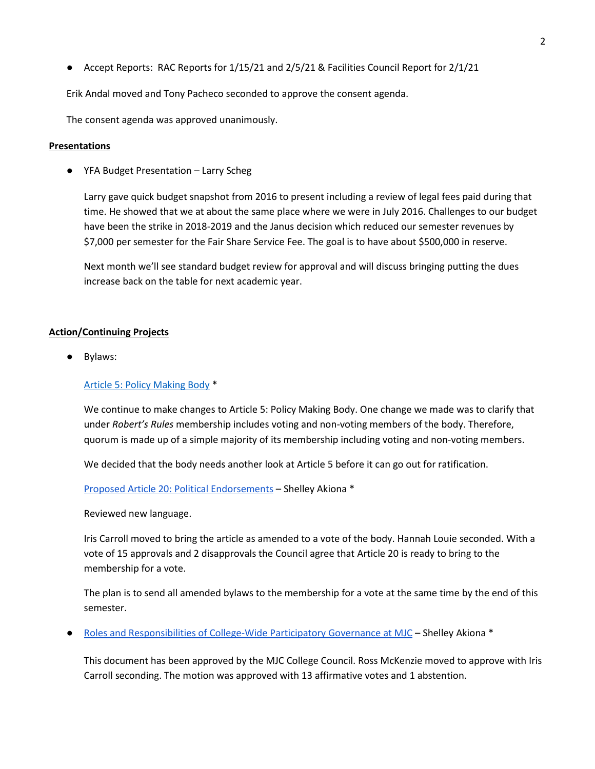● Accept Reports: RAC Reports for 1/15/21 and 2/5/21 & Facilities Council Report for 2/1/21

Erik Andal moved and Tony Pacheco seconded to approve the consent agenda.

The consent agenda was approved unanimously.

## **Presentations**

● YFA Budget Presentation – Larry Scheg

Larry gave quick budget snapshot from 2016 to present including a review of legal fees paid during that time. He showed that we at about the same place where we were in July 2016. Challenges to our budget have been the strike in 2018-2019 and the Janus decision which reduced our semester revenues by \$7,000 per semester for the Fair Share Service Fee. The goal is to have about \$500,000 in reserve.

Next month we'll see standard budget review for approval and will discuss bringing putting the dues increase back on the table for next academic year.

## **Action/Continuing Projects**

Bylaws:

# [Article 5: Policy Making Body](https://yosemiteccd-my.sharepoint.com/personal/wendg_yosemite_edu/Documents/Documents/YFA%20Rep%20Council/2020-21/02.17.21/Documentation/YFA%20Bylaws%20Article%205-Policy%20Making%20Body.pdf) \*

We continue to make changes to Article 5: Policy Making Body. One change we made was to clarify that under *Robert's Rules* membership includes voting and non-voting members of the body. Therefore, quorum is made up of a simple majority of its membership including voting and non-voting members.

We decided that the body needs another look at Article 5 before it can go out for ratification.

[Proposed Article 20: Political Endorsements](https://docs.google.com/document/d/1wJ-u7CV0CWVrtHCafKckoXW7uMh5dByyoqZD_jy9jKY/edit?usp=sharing) – Shelley Akiona \*

Reviewed new language.

Iris Carroll moved to bring the article as amended to a vote of the body. Hannah Louie seconded. With a vote of 15 approvals and 2 disapprovals the Council agree that Article 20 is ready to bring to the membership for a vote.

The plan is to send all amended bylaws to the membership for a vote at the same time by the end of this semester.

● [Roles and Responsibilities of College-Wide Participatory Governance at MJC](https://drive.google.com/file/d/1T5U3ghnZvLS-tDgCLXUY4ia1LWZfR1d8/view?usp=sharing) – Shelley Akiona \*

This document has been approved by the MJC College Council. Ross McKenzie moved to approve with Iris Carroll seconding. The motion was approved with 13 affirmative votes and 1 abstention.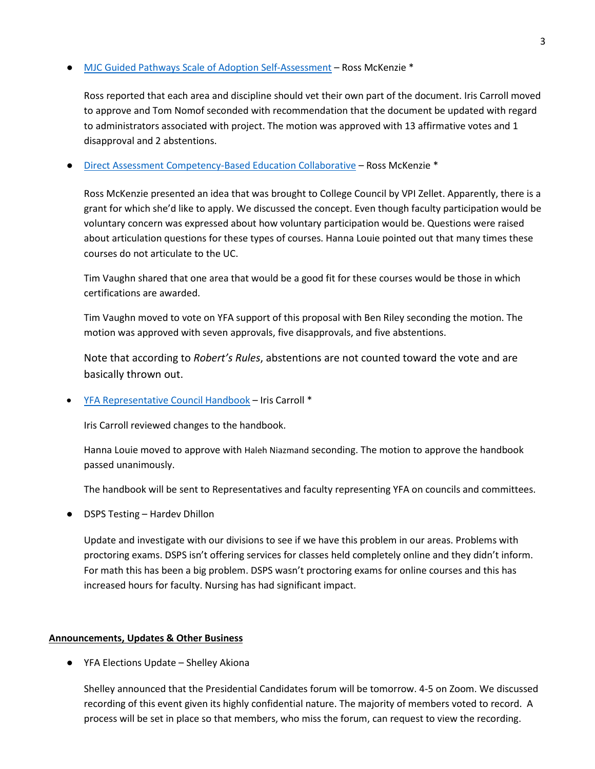# [MJC Guided Pathways Scale of Adoption Self-Assessment](https://drive.google.com/file/d/1in6NvP_FxbOR67PMhXER4rGuQoIp0PP-/view?usp=sharing) – Ross McKenzie \*

Ross reported that each area and discipline should vet their own part of the document. Iris Carroll moved to approve and Tom Nomof seconded with recommendation that the document be updated with regard to administrators associated with project. The motion was approved with 13 affirmative votes and 1 disapproval and 2 abstentions.

## [Direct Assessment Competency-Based Education Collaborative](https://yosemiteccd-my.sharepoint.com/personal/wendg_yosemite_edu/Documents/Documents/YFA%20Rep%20Council/2020-21/02.17.21/Documentation/CBE-Regional_Coordinators-PPT-final.pptx%20-%20Copy.pdf) – Ross McKenzie \*

Ross McKenzie presented an idea that was brought to College Council by VPI Zellet. Apparently, there is a grant for which she'd like to apply. We discussed the concept. Even though faculty participation would be voluntary concern was expressed about how voluntary participation would be. Questions were raised about articulation questions for these types of courses. Hanna Louie pointed out that many times these courses do not articulate to the UC.

Tim Vaughn shared that one area that would be a good fit for these courses would be those in which certifications are awarded.

Tim Vaughn moved to vote on YFA support of this proposal with Ben Riley seconding the motion. The motion was approved with seven approvals, five disapprovals, and five abstentions.

Note that according to *Robert's Rules*, abstentions are not counted toward the vote and are basically thrown out.

• [YFA Representative](https://yosemiteccd-my.sharepoint.com/personal/wendg_yosemite_edu/Documents/Documents/YFA%20Rep%20Council/2020-21/02.17.21/Documentation/YFA%20Representative%20Council%20Handbook-Final%20Draft.pdf) Council Handbook – Iris Carroll \*

Iris Carroll reviewed changes to the handbook.

Hanna Louie moved to approve with Haleh Niazmand seconding. The motion to approve the handbook passed unanimously.

The handbook will be sent to Representatives and faculty representing YFA on councils and committees.

**DSPS Testing – Hardev Dhillon** 

Update and investigate with our divisions to see if we have this problem in our areas. Problems with proctoring exams. DSPS isn't offering services for classes held completely online and they didn't inform. For math this has been a big problem. DSPS wasn't proctoring exams for online courses and this has increased hours for faculty. Nursing has had significant impact.

### **Announcements, Updates & Other Business**

● YFA Elections Update – Shelley Akiona

Shelley announced that the Presidential Candidates forum will be tomorrow. 4-5 on Zoom. We discussed recording of this event given its highly confidential nature. The majority of members voted to record. A process will be set in place so that members, who miss the forum, can request to view the recording.